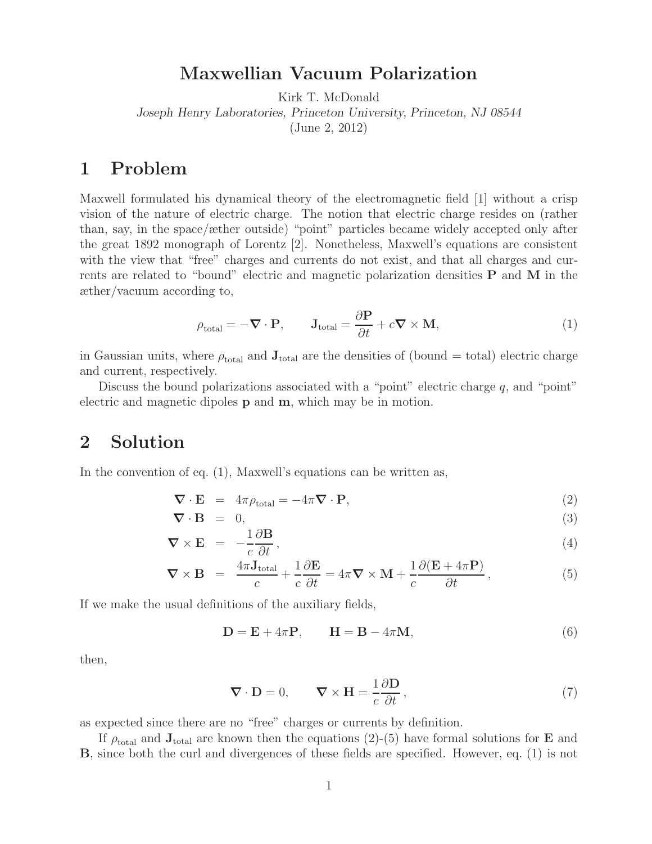**Maxwellian Vacuum Polarization** Kirk T. McDonald

*Joseph Henry Laboratories, Princeton University, Princeton, NJ 08544*

(June 2, 2012)

### $\mathbf{1}$

Maxwell formulated his dynamical theory of the electromagnetic field [1] without a crisp vision of the nature of electric charge. The notion that electric charge resides on (rather than, say, in the space/æther outside) "point" particles became widely accepted only after the great 1892 monograph of Lorentz [2]. Nonetheless, Maxwell's equations are consistent with the view that "free" charges and currents do not exist, and that all charges and currents are related to "bound" electric and magnetic polarization densities **P** and **M** in the æther/vacuum according to,

$$
\rho_{\text{total}} = -\nabla \cdot \mathbf{P}, \qquad \mathbf{J}_{\text{total}} = \frac{\partial \mathbf{P}}{\partial t} + c \nabla \times \mathbf{M}, \tag{1}
$$

in Gaussian units, where  $\rho_{\text{total}}$  and  $\mathbf{J}_{\text{total}}$  are the densities of (bound  $=$  total) electric charge and current, respectively.

Discuss the bound polarizations associated with a "point" electric charge  $q$ , and "point" electric and magnetic dipoles **p** and **m**, which may be in motion.

#### $\overline{2}$ **2 Solution**

In the convention of eq. (1), Maxwell's equations can be written as,

$$
\nabla \cdot \mathbf{E} = 4\pi \rho_{\text{total}} = -4\pi \nabla \cdot \mathbf{P},\tag{2}
$$

$$
\nabla \cdot \mathbf{B} = 0, \tag{3}
$$

$$
\nabla \times \mathbf{E} = -\frac{1}{c} \frac{\partial \mathbf{B}}{\partial t}, \qquad (4)
$$

$$
\nabla \times \mathbf{B} = \frac{4\pi \mathbf{J}_{\text{total}}}{c} + \frac{1}{c} \frac{\partial \mathbf{E}}{\partial t} = 4\pi \nabla \times \mathbf{M} + \frac{1}{c} \frac{\partial (\mathbf{E} + 4\pi \mathbf{P})}{\partial t}, \qquad (5)
$$

If we make the usual definitions of the auxiliary fields,

$$
\mathbf{D} = \mathbf{E} + 4\pi \mathbf{P}, \qquad \mathbf{H} = \mathbf{B} - 4\pi \mathbf{M}, \tag{6}
$$

then,

$$
\nabla \cdot \mathbf{D} = 0, \qquad \nabla \times \mathbf{H} = \frac{1}{c} \frac{\partial \mathbf{D}}{\partial t}, \qquad (7)
$$

as expected since there are no "free" charges or currents by definition.

If  $\rho_{\text{total}}$  and  $\mathbf{J}_{\text{total}}$  are known then the equations (2)-(5) have formal solutions for **E** and **B**, since both the curl and divergences of these fields are specified. However, eq. (1) is not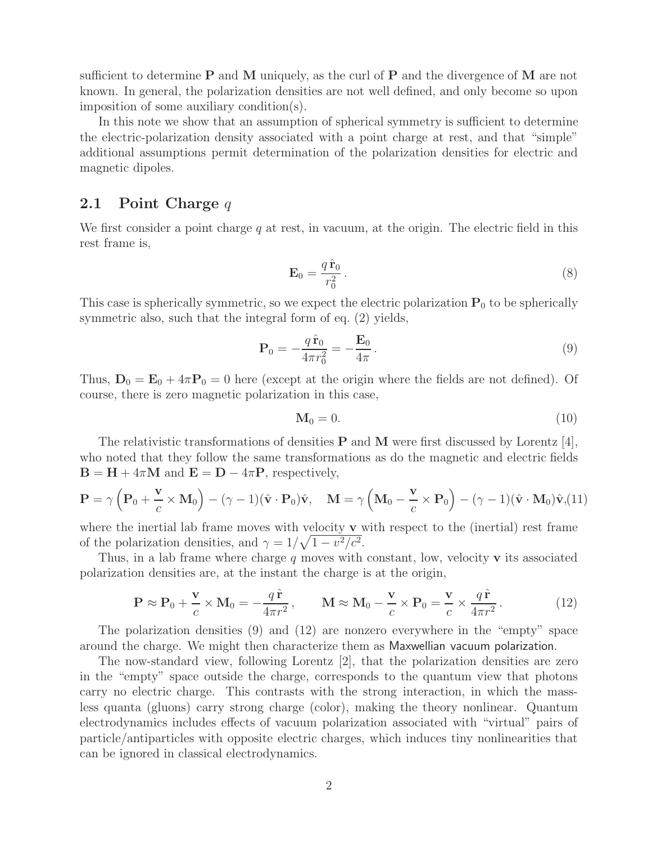sufficient to determine **P** and **M** uniquely, as the curl of **P** and the divergence of **M** are not known. In general, the polarization densities are not well defined, and only become so upon imposition of some auxiliary condition(s).

In this note we show that an assumption of spherical symmetry is sufficient to determine the electric-polarization density associated with a point charge at rest, and that "simple" additional assumptions permit determination of the polarization densities for electric and magnetic dipoles.

#### **2.1 Point Charge** <sup>q</sup>

We first consider a point charge  $q$  at rest, in vacuum, at the origin. The electric field in this rest frame is,

$$
\mathbf{E}_0 = \frac{q\,\hat{\mathbf{r}}_0}{r_0^2} \,. \tag{8}
$$

This case is spherically symmetric, so we expect the electric polarization  $P_0$  to be spherically symmetric also, such that the integral form of eq. (2) yields,

$$
\mathbf{P}_0 = -\frac{q\,\hat{\mathbf{r}}_0}{4\pi r_0^2} = -\frac{\mathbf{E}_0}{4\pi} \,. \tag{9}
$$

Thus,  $D_0 = E_0 + 4\pi P_0 = 0$  here (except at the origin where the fields are not defined). Of course, there is zero magnetic polarization in this case,

$$
\mathbf{M}_0 = 0.\tag{10}
$$

The relativistic transformations of densities **P** and **M** were first discussed by Lorentz [4], who noted that they follow the same transformations as do the magnetic and electric fields  $\mathbf{B} = \mathbf{H} + 4\pi\mathbf{M}$  and  $\mathbf{E} = \mathbf{D} - 4\pi\mathbf{P}$ , respectively,

$$
\mathbf{P} = \gamma \left( \mathbf{P}_0 + \frac{\mathbf{v}}{c} \times \mathbf{M}_0 \right) - (\gamma - 1)(\hat{\mathbf{v}} \cdot \mathbf{P}_0)\hat{\mathbf{v}}, \quad \mathbf{M} = \gamma \left( \mathbf{M}_0 - \frac{\mathbf{v}}{c} \times \mathbf{P}_0 \right) - (\gamma - 1)(\hat{\mathbf{v}} \cdot \mathbf{M}_0)\hat{\mathbf{v}}, (11)
$$

where the inertial lab frame moves with velocity **v** with respect to the (inertial) rest frame of the polarization densities, and  $\gamma = 1/\sqrt{1 - v^2/c^2}$ .

Thus, in a lab frame where charge <sup>q</sup> moves with constant, low, velocity **v** its associated polarization densities are, at the instant the charge is at the origin,

$$
\mathbf{P} \approx \mathbf{P}_0 + \frac{\mathbf{v}}{c} \times \mathbf{M}_0 = -\frac{q\,\hat{\mathbf{r}}}{4\pi r^2}, \qquad \mathbf{M} \approx \mathbf{M}_0 - \frac{\mathbf{v}}{c} \times \mathbf{P}_0 = \frac{\mathbf{v}}{c} \times \frac{q\,\hat{\mathbf{r}}}{4\pi r^2}.
$$
 (12)

The polarization densities (9) and (12) are nonzero everywhere in the "empty" space around the charge. We might then characterize them as Maxwellian vacuum polarization.

The now-standard view, following Lorentz [2], that the polarization densities are zero in the "empty" space outside the charge, corresponds to the quantum view that photons carry no electric charge. This contrasts with the strong interaction, in which the massless quanta (gluons) carry strong charge (color), making the theory nonlinear. Quantum electrodynamics includes effects of vacuum polarization associated with "virtual" pairs of particle/antiparticles with opposite electric charges, which induces tiny nonlinearities that can be ignored in classical electrodynamics.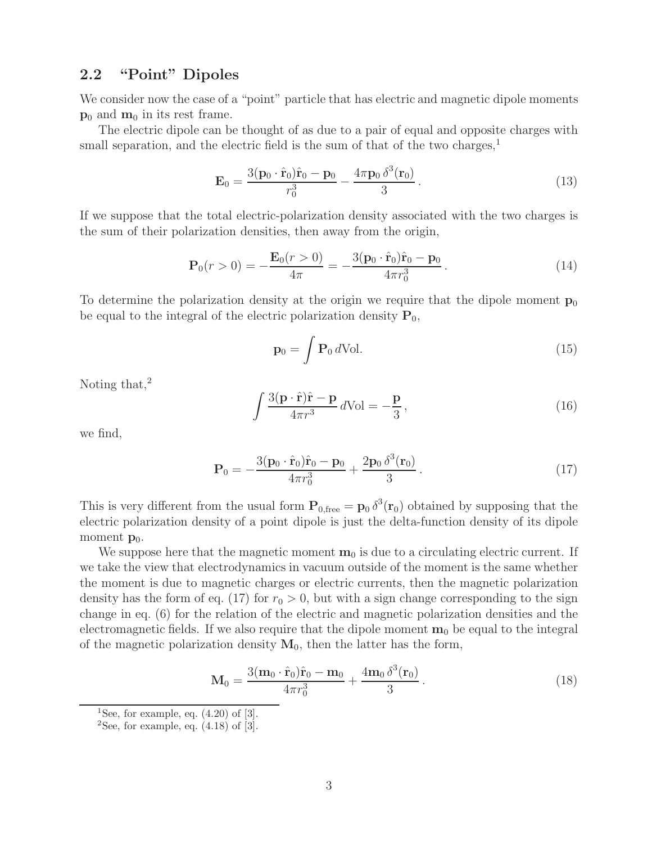# **2.2 "Point" Dipoles**

We consider now the case of a "point" particle that has electric and magnetic dipole moments  $\mathbf{p}_0$  and  $\mathbf{m}_0$  in its rest frame.

The electric dipole can be thought of as due to a pair of equal and opposite charges with small separation, and the electric field is the sum of that of the two charges,<sup>1</sup>

$$
\mathbf{E}_0 = \frac{3(\mathbf{p}_0 \cdot \hat{\mathbf{r}}_0)\hat{\mathbf{r}}_0 - \mathbf{p}_0}{r_0^3} - \frac{4\pi \mathbf{p}_0 \,\delta^3(\mathbf{r}_0)}{3} \,. \tag{13}
$$

If we suppose that the total electric-polarization density associated with the two charges is the sum of their polarization densities, then away from the origin,

$$
\mathbf{P}_0(r>0) = -\frac{\mathbf{E}_0(r>0)}{4\pi} = -\frac{3(\mathbf{p}_0 \cdot \hat{\mathbf{r}}_0)\hat{\mathbf{r}}_0 - \mathbf{p}_0}{4\pi r_0^3}.
$$
(14)

To determine the polarization density at the origin we require that the dipole moment  $p_0$ be equal to the integral of the electric polarization density  $P_0$ ,

$$
\mathbf{p}_0 = \int \mathbf{P}_0 \, d\text{Vol}. \tag{15}
$$

Noting that, $^2$ 

$$
\int \frac{3(\mathbf{p} \cdot \hat{\mathbf{r}})\hat{\mathbf{r}} - \mathbf{p}}{4\pi r^3} d\text{Vol} = -\frac{\mathbf{p}}{3},\tag{16}
$$

we find,

$$
\mathbf{P}_0 = -\frac{3(\mathbf{p}_0 \cdot \hat{\mathbf{r}}_0)\hat{\mathbf{r}}_0 - \mathbf{p}_0}{4\pi r_0^3} + \frac{2\mathbf{p}_0 \,\delta^3(\mathbf{r}_0)}{3} \,. \tag{17}
$$

This is very different from the usual form  $\mathbf{P}_{0,\text{free}} = \mathbf{p}_0 \delta^3(\mathbf{r}_0)$  obtained by supposing that the electric polarization density of a point dipole is just the delta-function density of its dipole electric polarization density of a point dipole is just the delta-function density of its dipole moment  $\mathbf{p}_0$ .

We suppose here that the magnetic moment  $\mathbf{m}_0$  is due to a circulating electric current. If we take the view that electrodynamics in vacuum outside of the moment is the same whether the moment is due to magnetic charges or electric currents, then the magnetic polarization density has the form of eq. (17) for  $r_0 > 0$ , but with a sign change corresponding to the sign change in eq. (6) for the relation of the electric and magnetic polarization densities and the electromagnetic fields. If we also require that the dipole moment  $\mathbf{m}_0$  be equal to the integral of the magnetic polarization density  $M_0$ , then the latter has the form,

$$
\mathbf{M}_0 = \frac{3(\mathbf{m}_0 \cdot \hat{\mathbf{r}}_0)\hat{\mathbf{r}}_0 - \mathbf{m}_0}{4\pi r_0^3} + \frac{4\mathbf{m}_0 \,\delta^3(\mathbf{r}_0)}{3} \,. \tag{18}
$$

<sup>&</sup>lt;sup>1</sup>See, for example, eq.  $(4.20)$  of  $[3]$ .

<sup>&</sup>lt;sup>2</sup>See, for example, eq.  $(4.18)$  of  $\overline{3}$ .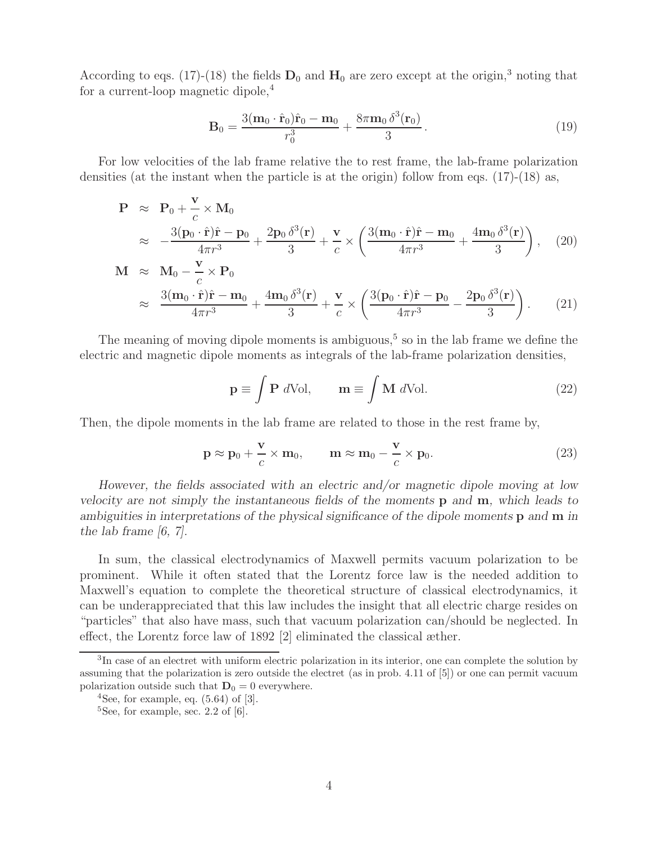According to eqs. (17)-(18) the fields  $D_0$  and  $H_0$  are zero except at the origin,<sup>3</sup> noting that for a current-loop magnetic dipole,<sup>4</sup>

$$
\mathbf{B}_0 = \frac{3(\mathbf{m}_0 \cdot \hat{\mathbf{r}}_0)\hat{\mathbf{r}}_0 - \mathbf{m}_0}{r_0^3} + \frac{8\pi \mathbf{m}_0 \,\delta^3(\mathbf{r}_0)}{3}.
$$
 (19)

For low velocities of the lab frame relative the to rest frame, the lab-frame polarization densities (at the instant when the particle is at the origin) follow from eqs.  $(17)-(18)$  as,

$$
\mathbf{P} \approx \mathbf{P}_0 + \frac{\mathbf{v}}{c} \times \mathbf{M}_0
$$
\n
$$
\approx -\frac{3(\mathbf{p}_0 \cdot \hat{\mathbf{r}})\hat{\mathbf{r}} - \mathbf{p}_0}{4\pi r^3} + \frac{2\mathbf{p}_0 \delta^3(\mathbf{r})}{3} + \frac{\mathbf{v}}{c} \times \left(\frac{3(\mathbf{m}_0 \cdot \hat{\mathbf{r}})\hat{\mathbf{r}} - \mathbf{m}_0}{4\pi r^3} + \frac{4\mathbf{m}_0 \delta^3(\mathbf{r})}{3}\right), \quad (20)
$$
\n
$$
\mathbf{M} \approx \mathbf{M}_0 - \frac{\mathbf{v}}{c} \times \mathbf{P}_0
$$
\n
$$
\approx \frac{3(\mathbf{m}_0 \cdot \hat{\mathbf{r}})\hat{\mathbf{r}} - \mathbf{m}_0}{4\pi r^3} + \frac{4\mathbf{m}_0 \delta^3(\mathbf{r})}{3} + \frac{\mathbf{v}}{c} \times \left(\frac{3(\mathbf{p}_0 \cdot \hat{\mathbf{r}})\hat{\mathbf{r}} - \mathbf{p}_0}{4\pi r^3} - \frac{2\mathbf{p}_0 \delta^3(\mathbf{r})}{3}\right). \quad (21)
$$

The meaning of moving dipole moments is ambiguous,<sup>5</sup> so in the lab frame we define the electric and magnetic dipole moments as integrals of the lab-frame polarization densities,

$$
\mathbf{p} \equiv \int \mathbf{P} \ d\text{Vol}, \qquad \mathbf{m} \equiv \int \mathbf{M} \ d\text{Vol}. \tag{22}
$$

Then, the dipole moments in the lab frame are related to those in the rest frame by,

$$
\mathbf{p} \approx \mathbf{p}_0 + \frac{\mathbf{v}}{c} \times \mathbf{m}_0, \qquad \mathbf{m} \approx \mathbf{m}_0 - \frac{\mathbf{v}}{c} \times \mathbf{p}_0.
$$
 (23)

*However, the fields associated with an electric and/or magnetic dipole moving at low velocity are not simply the instantaneous fields of the moments* **p** *and* **m***, which leads to ambiguities in interpretations of the physical significance of the dipole moments* **p** *and* **m** *in the lab frame [6, 7].*

In sum, the classical electrodynamics of Maxwell permits vacuum polarization to be prominent. While it often stated that the Lorentz force law is the needed addition to Maxwell's equation to complete the theoretical structure of classical electrodynamics, it can be underappreciated that this law includes the insight that all electric charge resides on "particles" that also have mass, such that vacuum polarization can/should be neglected. In effect, the Lorentz force law of 1892 [2] eliminated the classical æther.

<sup>&</sup>lt;sup>3</sup>In case of an electret with uniform electric polarization in its interior, one can complete the solution by assuming that the polarization is zero outside the electret (as in prob. 4.11 of [5]) or one can permit vacuum polarization outside such that  $D_0 = 0$  everywhere.

 $4$ See, for example, eq.  $(5.64)$  of  $[3]$ .

 ${}^{5}$ See, for example, sec. 2.2 of [6].